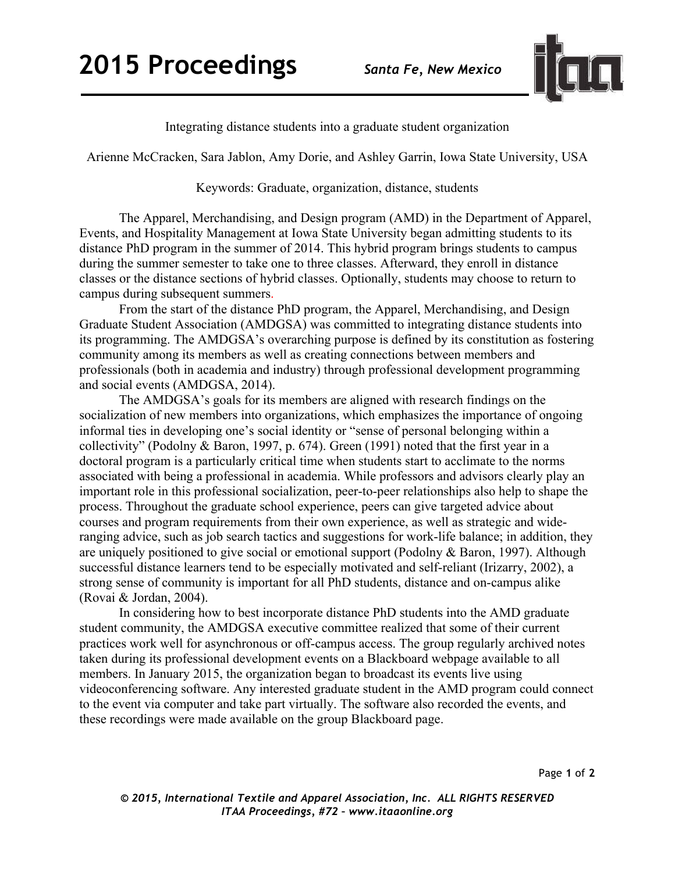

Integrating distance students into a graduate student organization

Arienne McCracken, Sara Jablon, Amy Dorie, and Ashley Garrin, Iowa State University, USA

## Keywords: Graduate, organization, distance, students

The Apparel, Merchandising, and Design program (AMD) in the Department of Apparel, Events, and Hospitality Management at Iowa State University began admitting students to its distance PhD program in the summer of 2014. This hybrid program brings students to campus during the summer semester to take one to three classes. Afterward, they enroll in distance classes or the distance sections of hybrid classes. Optionally, students may choose to return to campus during subsequent summers.

From the start of the distance PhD program, the Apparel, Merchandising, and Design Graduate Student Association (AMDGSA) was committed to integrating distance students into its programming. The AMDGSA's overarching purpose is defined by its constitution as fostering community among its members as well as creating connections between members and professionals (both in academia and industry) through professional development programming and social events (AMDGSA, 2014).

The AMDGSA's goals for its members are aligned with research findings on the socialization of new members into organizations, which emphasizes the importance of ongoing informal ties in developing one's social identity or "sense of personal belonging within a collectivity" (Podolny & Baron, 1997, p. 674). Green (1991) noted that the first year in a doctoral program is a particularly critical time when students start to acclimate to the norms associated with being a professional in academia. While professors and advisors clearly play an important role in this professional socialization, peer-to-peer relationships also help to shape the process. Throughout the graduate school experience, peers can give targeted advice about courses and program requirements from their own experience, as well as strategic and wideranging advice, such as job search tactics and suggestions for work-life balance; in addition, they are uniquely positioned to give social or emotional support (Podolny & Baron, 1997). Although successful distance learners tend to be especially motivated and self-reliant (Irizarry, 2002), a strong sense of community is important for all PhD students, distance and on-campus alike (Rovai & Jordan, 2004).

In considering how to best incorporate distance PhD students into the AMD graduate student community, the AMDGSA executive committee realized that some of their current practices work well for asynchronous or off-campus access. The group regularly archived notes taken during its professional development events on a Blackboard webpage available to all members. In January 2015, the organization began to broadcast its events live using videoconferencing software. Any interested graduate student in the AMD program could connect to the event via computer and take part virtually. The software also recorded the events, and these recordings were made available on the group Blackboard page.